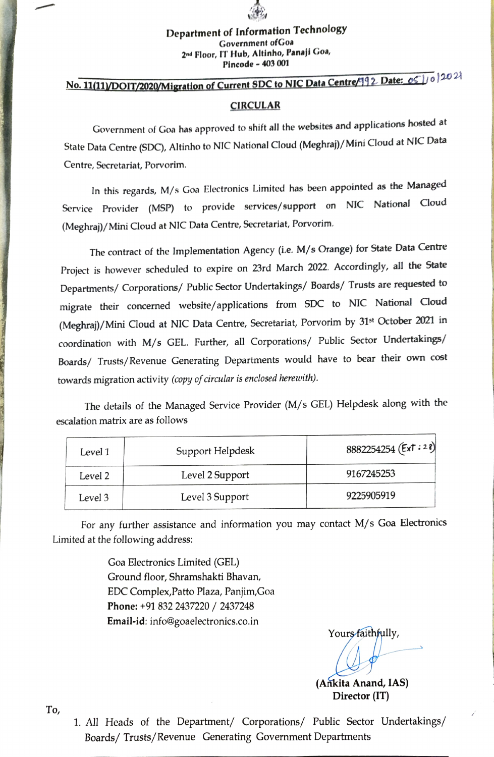

### Department of Information Technology Government ofGoa 2nd Floor, IT Hub, Altinho, Panaji Goa, Pincode - 403 001

# No. 11(11)/DOIT/2020/Migration of Current SDC to NIC Data Centre/192. Date: 05 |10 |2021 CIRCULAR

Government of Goa has approved to shift all the websites and applications hosted at State Data Centre (SDC), Altinho to NIC National Cloud (Meghraj)/ Mini Cloud at NIC Data Centre, Secretariat, Porvorim.

In this regards, M/s Goa Electronics Limited has been appointed as the Managed Service Provider (MSP) to provide services/support on NIC National Cloud (Meghraj)/Mini Cloud at NIC Data Centre, Secretariat, Porvorim.

The contract of the Implementation Agency (i.e. M/s Orange) for State Data Centre Project is however scheduled to expire on 23rd March 2022. Accordingly, all the State Departments/ Corporations/ Public Sector Undertakings/ Boards/ Trusts are requested to migrate their concerned website/applications from SDC to NIC National Cloud (Meghraj)/Mini Cloud at NIC Data Centre, Secretariat, Porvorim by 31st October 2021 in coordination with M/s GEL. Further, all Corporations/ Public Sector Undertakings/ Boards/ Trusts/Revenue Generating Departments would have to bear their own cost towards migration activity (copy of circular is enclosed herewith).

The details of the Managed Service Provider (M/s GEL) Helpdesk along with the escalation matrix are as follows

| Level 1 | Support Helpdesk | 8882254254 (Ext: 28) |
|---------|------------------|----------------------|
| Level 2 | Level 2 Support  | 9167245253           |
| Level 3 | Level 3 Support  | 9225905919           |

For any further assistance and information you may contact M/s Goa Electronics Limited at the following address:

> Goa Electronics Limited (GEL) Ground floor, Shramshakti Bhavan, EDC Complex,Patto Plaza, Panjim,Goa Phone:+91832 2437220/ 2437248 Email-id: info@goaelectronics.co.in

Yours faithfully,

(Ankita Anand, IAS) Director (IT)

To

1. All Heads of the Department/ Corporations/ Public Sector Undertakings/ Boards/ Trusts/Revenue Generating Government Departments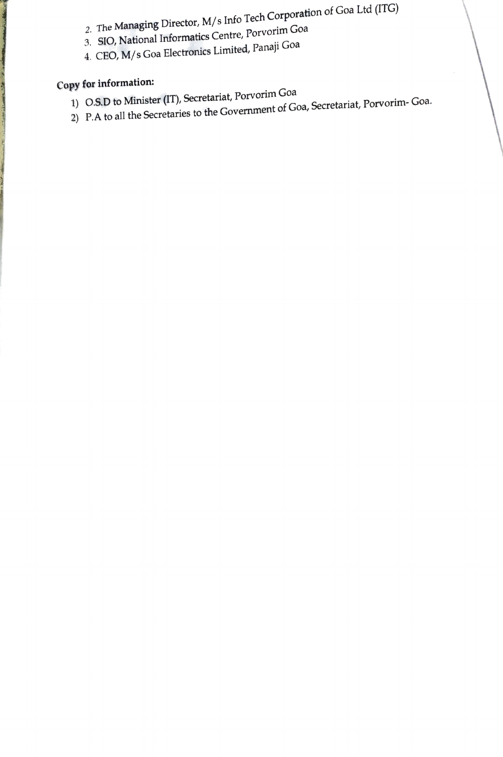- 2. The Managing Director, M/s Info Tech Corporation of Goa Ltd (ITG)
- 3. SIO, National Informatics Centre, Porvorim Goa
- 4. CEO, M/s Goa Electronics Limited, Panaji Goa

# Copy for information:

- 1) O.S.D to Minister (IT), Secretariat, Porvorim Goa
- 2) P.A to all the Secretaries to the Government of Goa, Secretariat, Porvorim- Goa.
-